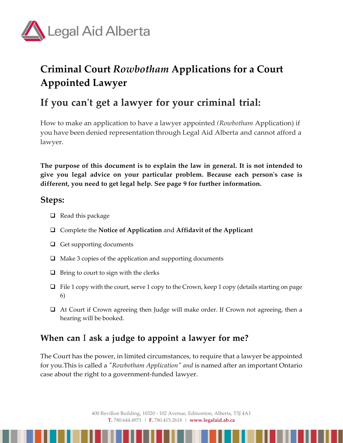

# **Criminal Court** *Rowbotham* **Applications for a Court Appointed Lawyer**

# **If you can't get a lawyer for your criminal trial:**

How to make an application to have a lawyer appointed *(Rowbotham* Application) if you have been denied representation through Legal Aid Alberta and cannot afford a lawyer.

**The purpose of this document is to explain the law in general. It is not intended to give you legal advice on your particular problem. Because each person's case is different, you need to get legal help. See page 9 for further information.**

### **Steps:**

- $\Box$  Read this package
- Complete the **Notice of Application** and **Affidavit of the Applicant**
- $\Box$  Get supporting documents
- $\Box$  Make 3 copies of the application and supporting documents
- $\Box$  Bring to court to sign with the clerks
- $\Box$  File 1 copy with the court, serve 1 copy to the Crown, keep 1 copy (details starting on page 6)
- At Court if Crown agreeing then Judge will make order. If Crown not agreeing, then a hearing will be booked.

## **When can** I **ask a judge to appoint a lawyer for me?**

The Court has the power, in limited circumstances, to require that a lawyer be appointed for you.This is called a *"Rowbotham Application" and* is named after an important Ontario case about the right to a government-funded lawyer.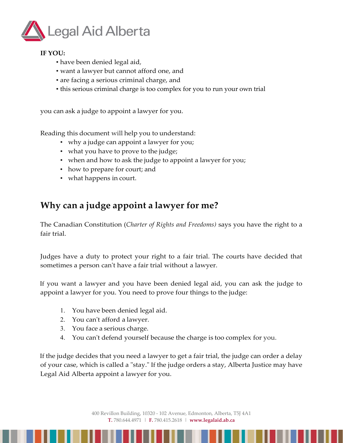

#### **IF YOU:**

- have been denied legal aid,
- want a lawyer but cannot afford one, and
- are facing a serious criminal charge, and
- this serious criminal charge is too complex for you to run your own trial

you can ask a judge to appoint a lawyer for you.

Reading this document will help you to understand:

- why a judge can appoint a lawyer for you;
- what you have to prove to the judge;
- when and how to ask the judge to appoint a lawyer for you;
- how to prepare for court; and
- what happens in court.

## **Why can a judge appoint a lawyer for me?**

The Canadian Constitution (*Charter of Rights and Freedoms)* says you have the right to a fair trial.

Judges have a duty to protect your right to a fair trial. The courts have decided that sometimes a person can't have a fair trial without a lawyer.

If you want a lawyer and you have been denied legal aid, you can ask the judge to appoint a lawyer for you. You need to prove four things to the judge:

- 1. You have been denied legal aid.
- 2. You can't afford a lawyer.
- 3. You face a serious charge.
- 4. You can't defend yourself because the charge is too complex for you.

If the judge decides that you need a lawyer to get a fair trial, the judge can order a delay of your case, which is called a "stay." If the judge orders a stay, Alberta Justice may have Legal Aid Alberta appoint a lawyer for you.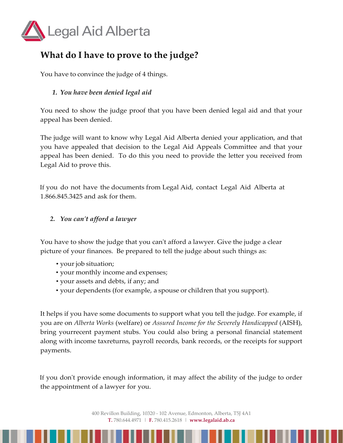

## **What do I have to prove to the judge?**

You have to convince the judge of 4 things.

#### *1. You have been denied legal aid*

You need to show the judge proof that you have been denied legal aid and that your appeal has been denied.

The judge will want to know why Legal Aid Alberta denied your application, and that you have appealed that decision to the Legal Aid Appeals Committee and that your appeal has been denied. To do this you need to provide the letter you received from Legal Aid to prove this.

If you do not have the documents from Legal Aid, contact Legal Aid Alberta at 1.866.845.3425 and ask for them.

#### *2. You can't afford a lawyer*

You have to show the judge that you can't afford a lawyer. Give the judge a clear picture of your finances. Be prepared to tell the judge about such things as:

- your job situation;
- your monthly income and expenses;
- your assets and debts, if any; and
- your dependents (for example, a spouse or children that you support).

It helps if you have some documents to support what you tell the judge. For example, if you are on *Alberta Works* (welfare) or *Assured Income for the Severely Handicapped* (AISH), bring yourrecent payment stubs. You could also bring a personal financial statement along with income taxreturns, payroll records, bank records, or the receipts for support payments.

If you don't provide enough information, it may affect the ability of the judge to order the appointment of a lawyer for you.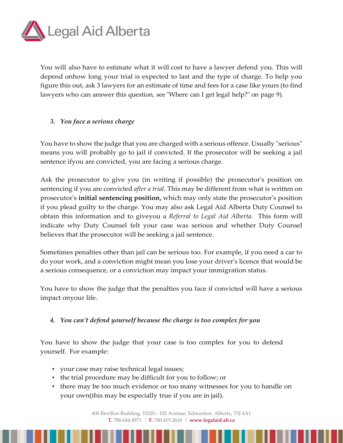

You will also have to estimate what it will cost to have a lawyer defend you. This will depend onhow long your trial is expected to last and the type of charge. To help you figure this out, ask 3 lawyers for an estimate of time and fees for a case like yours (to find lawyers who can answer this question, see "Where can I get legal help?" on page 9).

#### *3. You face a serious charge*

You have to show the judge that you are charged with a serious offence. Usually "serious" means you will probably go to jail if convicted. If the prosecutor will be seeking a jail sentence ifyou are convicted, you are facing a serious charge.

Ask the prosecutor to give you (in writing if possible) the prosecutor's position on sentencing if you are convicted *after a trial.* This may be different from what is written on prosecutor's **initial sentencing position,** which may only state the prosecutor's position if you plead guilty to the charge. You may also ask Legal Aid Alberta Duty Counsel to obtain this information and to giveyou a *Referral to Legal Aid Alberta.* This form will indicate why Duty Counsel felt your case was serious and whether Duty Counsel believes that the prosecutor will be seeking a jail sentence.

Sometimes penalties other than jail can be serious too. For example, if you need a car to do your work, and a conviction might mean you lose your driver's licence that would be a serious consequence, or a conviction may impact your immigration status.

You have to show the judge that the penalties you face if convicted will have a serious impact onyour life.

#### *4. You can't defend yourself because the charge is too complex for you*

You have to show the judge that your case is too complex for you to defend yourself. For example:

- your case may raise technical legal issues;
- the trial procedure may be difficult for you to follow; or
- there may be too much evidence or too many witnesses for you to handle on your own(this may be especially true if you are in jail).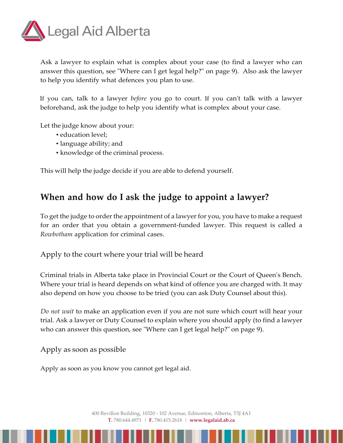

Ask a lawyer to explain what is complex about your case (to find a lawyer who can answer this question, see "Where can I get legal help?" on page 9). Also ask the lawyer to help you identify what defences you plan to use.

If you can, talk to a lawyer *before* you go to court. If you can't talk with a lawyer beforehand, ask the judge to help you identify what is complex about your case.

Let the judge know about your:

- education level;
- language ability; and
- knowledge of the criminal process.

This will help the judge decide if you are able to defend yourself.

### **When and how do I ask the judge to appoint a lawyer?**

To get the judge to order the appointment of a lawyer for you, you have to make a request for an order that you obtain a government-funded lawyer. This request is called a *Rowbotham* application for criminal cases.

#### Apply to the court where your trial will be heard

Criminal trials in Alberta take place in Provincial Court or the Court of Queen's Bench. Where your trial is heard depends on what kind of offence you are charged with. It may also depend on how you choose to be tried (you can ask Duty Counsel about this).

*Do not wait* to make an application even if you are not sure which court will hear your trial. Ask a lawyer or Duty Counsel to explain where you should apply (to find a lawyer who can answer this question, see "Where can I get legal help?" on page 9).

Apply as soon as possible

Apply as soon as you know you cannot get legal aid.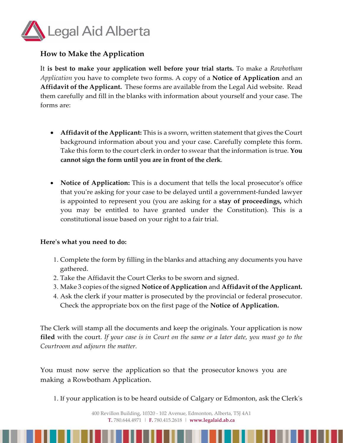

#### **How to Make the Application**

It **is best to make your application well before your trial starts.** To make a *Rowbotham Application* you have to complete two forms. A copy of a **Notice of Application** and an **Affidavit of the Applicant.** These forms are available from the Legal Aid website. Read them carefully and fill in the blanks with information about yourself and your case. The forms are:

- **Affidavit of the Applicant:** This is a sworn, written statement that gives the Court background information about you and your case. Carefully complete this form. Take this form to the court clerk in order to swear that the information is true. **You cannot sign the form until you are in front of the clerk**.
- **Notice of Application:** This is a document that tells the local prosecutor's office that you're asking for your case to be delayed until a government-funded lawyer is appointed to represent you (you are asking for a **stay of proceedings,** which you may be entitled to have granted under the Constitution). This is a constitutional issue based on your right to a fair trial.

#### **Here's what you need to do:**

- 1. Complete the form by filling in the blanks and attaching any documents you have gathered.
- 2. Take the Affidavit the Court Clerks to be sworn and signed.
- 3. Make 3 copies ofthe signed **Notice of Application** and **Affidavit ofthe Applicant.**
- 4. Ask the clerk if your matter is prosecuted by the provincial or federal prosecutor. Check the appropriate box on the first page of the **Notice of Application.**

The Clerk will stamp all the documents and keep the originals. Your application is now **filed** with the court. *If your case is in Court on the same or a later date, you must go to the Courtroom and adjourn the matter.*

You must now serve the application so that the prosecutor knows you are making a Rowbotham Application.

1. If your application is to be heard outside of Calgary or Edmonton, ask the Clerk's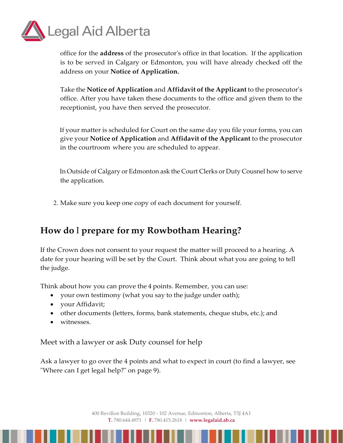

office for the **address** of the prosecutor's office in that location. If the application is to be served in Calgary or Edmonton, you will have already checked off the address on your **Notice of Application.**

Take the **Notice of Application** and **Affidavit of the Applicant** to the prosecutor's office. After you have taken these documents to the office and given them to the receptionist, you have then served the prosecutor.

If your matter is scheduled for Court on the same day you file your forms, you can give your **Notice of Application** and **Affidavit of the Applicant** to the prosecutor in the courtroom where you are scheduled to appear.

In Outside of Calgary or Edmonton ask the Court Clerks or Duty Cousnel how to serve the application.

2. Make sure you keep one copy of each document for yourself.

## **How do** I **prepare for my Rowbotham Hearing?**

If the Crown does not consent to your request the matter will proceed to a hearing. A date for your hearing will be set by the Court. Think about what you are going to tell the judge.

Think about how you can prove the 4 points. Remember, you can use:

- your own testimony (what you say to the judge under oath);
- your Affidavit;
- other documents (letters, forms, bank statements, cheque stubs, etc.); and
- witnesses.

Meet with a lawyer or ask Duty counsel for help

Ask a lawyer to go over the 4 points and what to expect in court (to find a lawyer, see "Where can I get legal help?" on page 9).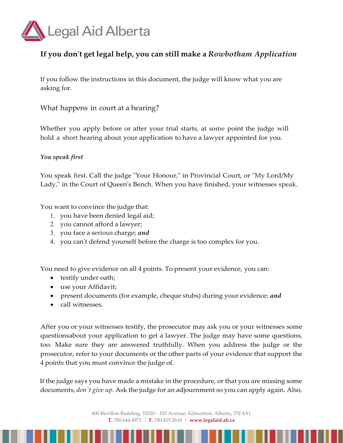

### **If you don't get legal help, you can still make a** *Rowbotham Application*

If you follow the instructions in this document, the judge will know what you are asking for.

What happens in court at a hearing?

Whether you apply before or after your trial starts, at some point the judge will hold a short hearing about your application to have a lawyer appointed for you.

#### *You speak first*

You speak first. Call the judge "Your Honour," in Provincial Court, or "My Lord/My Lady," in the Court of Queen's Bench. When you have finished, your witnesses speak.

You want to convince the judge that:

- 1. you have been denied legal aid;
- 2. you cannot afford a lawyer;
- 3. you face a serious charge; *and*
- 4. you can't defend yourself before the charge is too complex for you.

You need to give evidence on all 4 points. To present your evidence, you can:

- testify under oath;
- use your Affidavit;
- present documents (for example, cheque stubs) during your evidence; *and*
- call witnesses.

After you or your witnesses testify, the prosecutor may ask you or your witnesses some questionsabout your application to get a lawyer. The judge may have some questions, too. Make sure they are answered truthfully. When you address the judge or the prosecutor, refer to your documents or the other parts of your evidence that support the 4 points that you must convince the judge of.

If the judge says you have made a mistake in the procedure, or that you are missing some documents, *don't give up.* Ask the judge for an adjournment so you can apply again. Also,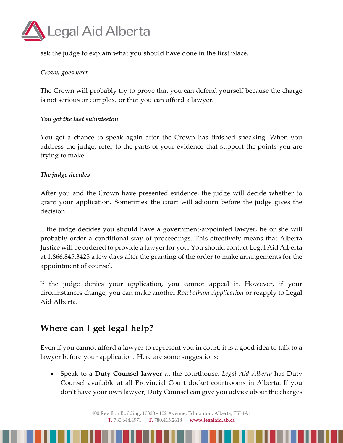

ask the judge to explain what you should have done in the first place.

#### *Crown goes next*

The Crown will probably try to prove that you can defend yourself because the charge is not serious or complex, or that you can afford a lawyer.

#### *You get the last submission*

You get a chance to speak again after the Crown has finished speaking. When you address the judge, refer to the parts of your evidence that support the points you are trying to make.

#### *The judge decides*

After you and the Crown have presented evidence, the judge will decide whether to grant your application. Sometimes the court will adjourn before the judge gives the decision.

If the judge decides you should have a government-appointed lawyer, he or she will probably order a conditional stay of proceedings. This effectively means that Alberta Justice will be ordered to provide a lawyer for you. You should contact Legal Aid Alberta at 1.866.845.3425 a few days after the granting of the order to make arrangements for the appointment of counsel.

If the judge denies your application, you cannot appeal it. However, if your circumstances change, you can make another *Rowbotham Application* or reapply to Legal Aid Alberta.

## **Where can** I **get legal help?**

Even if you cannot afford a lawyer to represent you in court, it is a good idea to talk to a lawyer before your application. Here are some suggestions:

• Speak to a **Duty Counsel lawyer** at the courthouse. *Legal Aid Alberta* has Duty Counsel available at all Provincial Court docket courtrooms in Alberta. If you don't have your own lawyer, Duty Counsel can give you advice about the charges